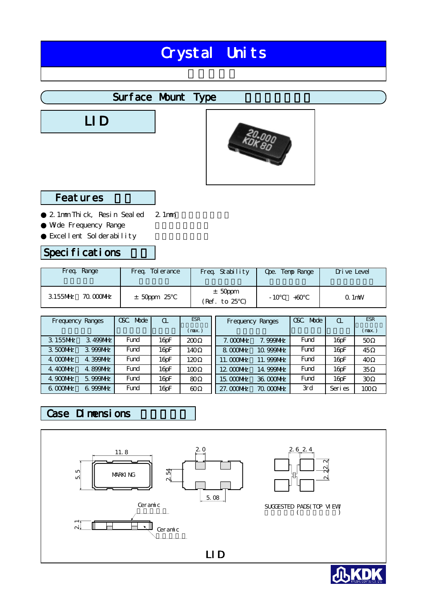# Crystal Units

## Surface Mount Type

LID



#### Featur es

2.1mm Thick, Resin Sealed Wide Frequency Range Excellent Solderability 2.1mm

#### Specifications

| Freg. Range            | Tol er ance<br>Freq. | Freq. Stability          | Temp Range<br>Ope. | Drive Level                         |
|------------------------|----------------------|--------------------------|--------------------|-------------------------------------|
| 3.155MHz<br>70.000 MHz | $±$ 50ppm 25         | $±$ 50ppm<br>(Ref. to 25 | $-10$<br>$+60$     | $Q$ 1 $m$ <sup><math>w</math></sup> |

| Frequency Ranges        | OSC.<br>Mode | $\alpha$          | <b>ESR</b> | Frequency Ranges |            | Mode<br>OSC. | $\alpha$              | <b>ESR</b> |
|-------------------------|--------------|-------------------|------------|------------------|------------|--------------|-----------------------|------------|
|                         |              |                   | (max.)     |                  |            |              |                       | (max.)     |
| 3.155MHz<br>3.499MHz    | Fund         | 16 <sub>pF</sub>  | 200        | $7.000$ MHz      | 7.999NHz   | Fund         | 16 <sub>pF</sub>      | 50         |
| 3.500MHz<br>3.999NHz    | Fund         | 16 <sub>pF</sub>  | 140        | 8.000MHz         | 10.999MHz  | Fund         | 16 <sub>pF</sub>      | 45         |
| 4. COONHz<br>4. 399 MHz | Fund         | 16 <sub>pF</sub>  | 120        | 11. COONHz       | 11.999MHz  | Fund         | 16 <sub>pF</sub>      | 40         |
| 4.400MHz<br>4.899MHz    | Fund         | 16 <sub>D</sub> F | 100        | 12.0000MHz       | 14.999MHz  | Fund         | $16$ <sub>D</sub> $F$ | 35         |
| 4.900 MHz<br>5.999 MHz  | Fund         | 16 <sub>pF</sub>  | 80         | 15.0000MHz       | 36.000MHz  | Fund         | 16 <sub>pF</sub>      | 30         |
| $6000$ NHz<br>6.999NHz  | Fund         | 16pF              | 60         | 27. COOMHZ       | 70. COONHZ | 3rd          | Seri es               | 100        |

### Case Dimensions